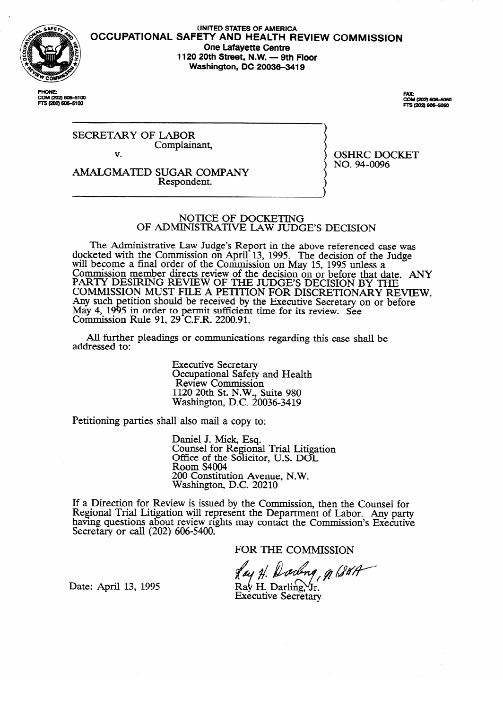

COM (202) 606-5100 FTS (202) 606-5100

OCCUPATIONAL SAFETY AND HEALTH REVIEW COMMISSIO **UNITED STATES OF AMERICA One Lafayette Centre 1120 20th Street, N.W. - 9th Floor Washington, DC 20036-3419** 

> FAX:<br>COM (202) 606-5050 **DS (2021 606-5050)**

SECRETARY OF LABOR Complainant,  $\overline{\mathbf{v}}$ 

v.

AMALGMATED SUGAR COMPANY Respondent.

OSHRC DOCKET<br>NO. 94-0096 no. 94-009

# NOTICE OF DOCKETING<br>OF ADMINISTRATIVE LAW JUDGE'S DECISION

**OF ADMINISTRATIVE** MW **JUDGE'S DECISION**   $\chi$ eted with the Commission on April 13, 1995. The decision of the Judge will become a final order of the Commission on May 15, 1995 unless a Commission member directs review of the decision on or before that  $\frac{d}{dt}$ PARTY DESIRING REVIEW OF THE JUDGE'S DECISION BY THE<br>COMMISSION MUST FILE 1 DETEROY FOR DECRETINGLY DILATERATIVE COMMISSION MUST FILE A PETITION FOR DISCRETIONARY RE Any such petition should be received by the Executive Secretary on or before May 4, 1995 in order to permit sumclent time for its review. See<br>Commission Pule 01, 20 C F P, 2200.01 COMMISSION NUIC 91,  $29$  C.F.N.  $2200.91$ .

All further pleadings or communications regarding this case shall be  $A$ l further pleadings or communications regarding the communications regarding the case shall be shall be shall be shall be shall be shall be shall be shall be shall be shall be shall be shall be shall be shall be shall

> **Executive Secretary** Occupational Safety and Health<br>Review Commission  $1120.20$ th St NW Suite 980  $\overline{R}$  as  $\overline{R}$  compared to  $\overline{R}$ . 1120 20th St. N.W., Suite 980

Petitioning parties shall also mail a copy to:

Daniel J. Mick, Esq.<br>Counsel for Regional Trial Litigation Office of the Solicitor, U.S. DOL Room S4004 200 Constitution Avenue, N.W. Washington, D.C. 20210

200 **Constitution** Avenue, N.W. ew is issued by the Com having questions about review rights may contact the Commission's Executive Secretary or call (202) 606-5400.

FOR THE COMMISSION

ading, g (SUA

Date: April 13, 1995

 $\text{Ra}_{\text{V}}^{\text{L}}$  H. Darling,  $\text{Tr}_{\text{L}}^{\text{L}}$ **Executive Secretary**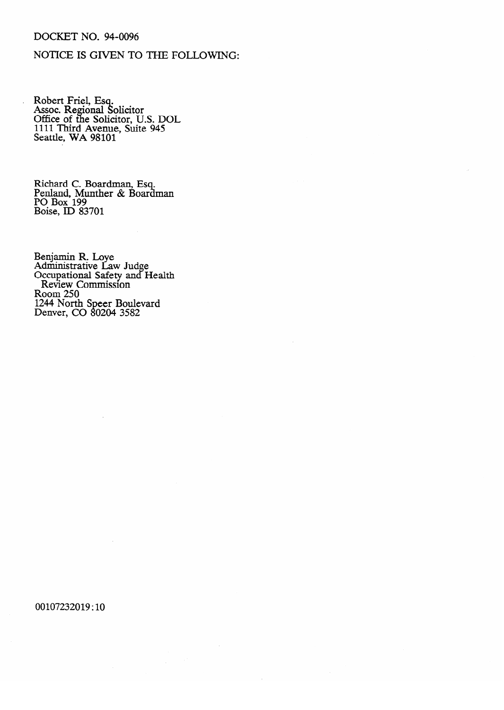### DOCKET NO. 94-0096

# NOTICE IS GIVEN TO THE FOLLOWING:

Robert Friel, Esq.<br>Assoc. Regional Solicitor<br>Office of the Solicitor, U.S. DOL<br>1111 Third Avenue, Suite 945<br>Seattle, WA 98101

Richard C. Boardman, Esq.<br>Penland, Munther & Boardman<br>PO Box 199<br>Boise, ID 83701

Benjamin R. Loye<br>Administrative Law Judge<br>Occupational Safety and Health<br>Review Commission<br>Room 250<br>1244 North Speer Boulevard<br>Denver, CO 80204 3582

00107232019:10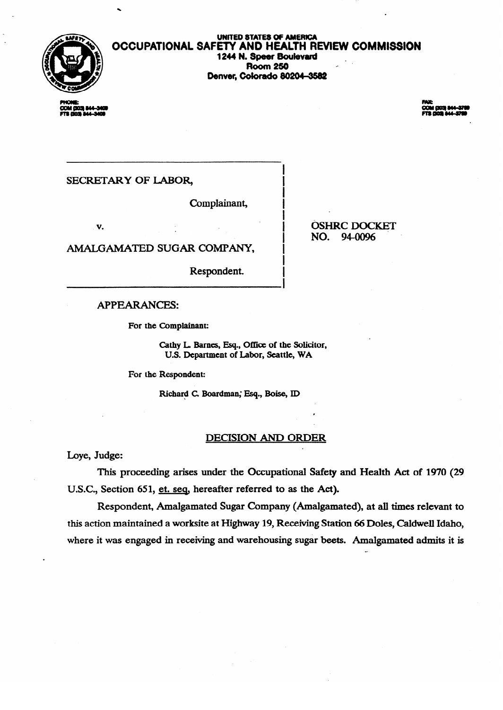

.

#### **OCCUPATIONAL SAFETY AND HEALTH REVIEW COMMISSION** 1244 N. Speer Boulevard<br>Room 250 . Room 250 r-Denver, Colorado *edzulacio*

**COM DOS 844** 

**3 803 MA-1** 

SECRETARY OF LABOR,

Complainant,

v.

AMALGAMATED SUGAR COMPANY,

Respondent.

Respondent.

**APPEARANCES:** 

For the Complainant:

Cathy L. Barnes, Esq., Office of the Solicitor, **U.S. Department of Labor, Seattle, WA** 

For the Respondent:

Richard C. Boardman; Esq., Boise, ID

#### **DECISION AND ORDER**

Loye, Judge:

This proceeding arises under the Occupational Safety and Health Act of 1970 (29 U.S.C., Section 651, et. seq, hereafter referred to as the Act).

Respondent, Amalgamated Sugar Company (Amalgamated), at all times relevant to this action maintained a worksite at Highway 19, Receiving Station 66 Doles, Caldwell Idaho, where it was engaged in receiving and warehousing sugar beets. Amalgamated admits it is

**OSHRC DOCKET** NO. 94-0096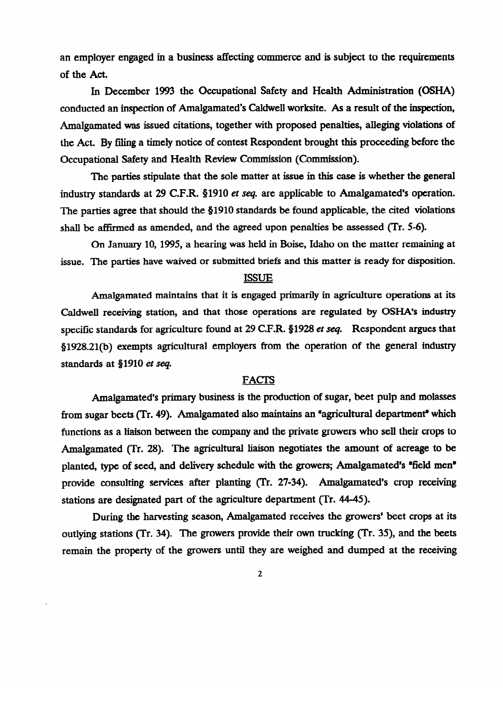an employer engaged in a business affecting commerce and is subject to the requirements of the Act.

In December 1993 the Occupational Safety and Health Administration (OSHA) conducted an inspection of Amalgamated's Caldwell worksite. As a result of the inspection, Amalgamated was issued citations, together with proposed penalties, alleging violations of the Act. By filing a timely notice of contest Respondent brought this proceeding before the Occupational Safety and Health Review Commission (Commission).

The parties stipulate that the sole matter at issue in this case is whether the general industry standards at 29 C.F.R. §1910 *et seq.* are applicable to Amalgamated's operation. The parties agree that should the §1910 standards be found applicable, the cited violations. shall be affirmed as amended, and the agreed upon penalties be assessed (Tr. 5-6).

On January 10, 1995, a hearing was held in Boise, Idaho on the matter remaining at issue. The parties have waived or submitted briefs and this matter is ready for disposition.

# issue. The parties have waived or submitted briefs and this matter is ready for disposition.

Amalgamated maintains that it is engaged primarily in agriculture operations at its Caldwell receiving station, and that those operations are regulated by OSHA's industry specific standards for agriculture found at 29 C.F.R.  $$1928$  et seq. Respondent argues that §1928.21(b) exempts agricultural employers from the operation of the general industry standards at §1910 et seq.

#### **FACTS**

Amalgamated's primary business is the production of sugar, beet pulp and molasses from sugar beets (Tr. 49). Amalgamated also maintains an "agricultural department" which functions as a liaison between the company and the private growers who sell their crops to Amalgamated (Tr. 28). The agricultural liaison negotiates the amount of acreage to be planted, type of seed, and delivery schedule with the growers; Amalgamated's "field men" provide consulting services after planting (Tr. 27-34). Amalgamated's crop receiving stations are designated part of the agriculture department (Tr. 44-45).

During the harvesting season, Amalgamated receives the growers' beet crops at its outlying stations (Tr. 34). The growers provide their own trucking (Tr. 35), and the beets remain the property of the growers until they are weighed and dumped at the receiving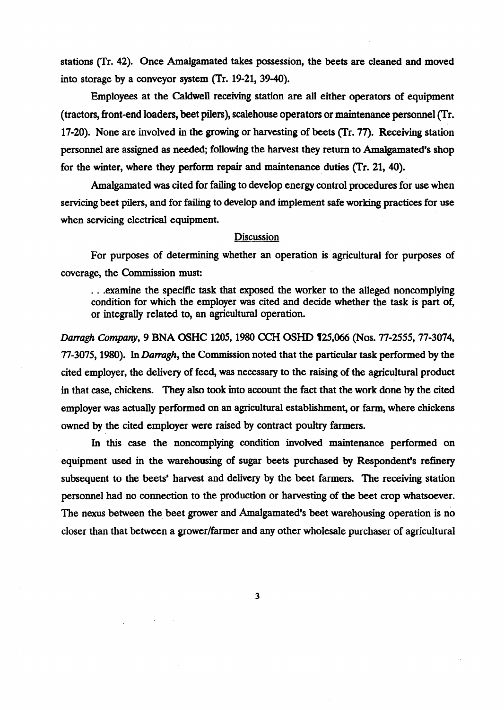stations (Tr. 42). Once Amalgamated takes possession, the beets are cleaned and moved into storage by a conveyor system (Tr. 19-21, 39-40).

Employees at the caldwell receiving station are all either operators of equipment (tractors, front-end loaders, beet pilers), scalehouse operators or maintenance personnel (Tr. 17-20). None are involved in the growing or harvesting of beets (Tr. 77). Receiving station personnel are assigned as needed; following the harvest they return to Amalgamated's shop for the winter, where they perform repair and maintenance duties (Tr. 21, 40).

Amalgamated was cited for failing to develop energy control procedures for use when servicing beet pilers, and for failing to develop and implement safe working practices for use when servicing electrical equipment.

#### **Discussion**

For purposes of determining whether an operation is agricultural for purposes of coverage, the Commission must:

...examine the specific task that exposed the worker to the alleged noncomplying condition for which the employer was cited and decide whether the task is part of, or integrally related to, an agricultural operation.

*Datragh Company, 9* BNA OSHC 1205,198O CCH OSHD W,O66 (Nos. 77.2555,77-3074, 77-3075, 1980). In *Darragh*, the Commission noted that the particular task performed by the cited employer, the delivery of feed, was necessary to the raising of the agricultural product in that case, chickens. They also took into account the fact that the work done by the cited employer was actually performed on an agricultural establishment, or farm, where chickens owned by the cited employer were raised by contract poultry farmers.

In this case the noncomplying condition involved maintenance performed on equipment used in the warehousing of sugar beets purchased by Respondent's refinery subsequent to the beets' harvest and delivery by the beet farmers. The receiving station personnel had no connection to the production or harvesting of the beet crop whatsoever. The nexus between the beet grower and Amalgamated's beet warehousing operation is no closer than that between a grower/farmer and any other wholesale purchaser of agricultural

 $\overline{\mathbf{3}}$